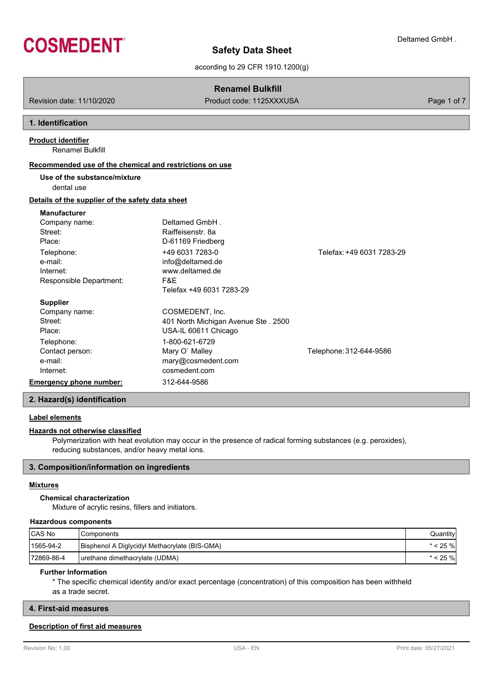

Deltamed GmbH .

according to 29 CFR 1910.1200(g)

# **Renamel Bulkfill**

Revision date: 11/10/2020 **Product code: 1125XXXUSA** Page 1 of 7

# **1. Identification**

Renamel Bulkfill **Product identifier**

### **Recommended use of the chemical and restrictions on use**

**Use of the substance/mixture**

dental use

# **Details of the supplier of the safety data sheet**

# **Manufacturer**

| Company name:           | Deltamed GmbH.                      |                           |
|-------------------------|-------------------------------------|---------------------------|
| Street:                 | Raiffeisenstr, 8a                   |                           |
| Place:                  | D-61169 Friedberg                   |                           |
| Telephone:              | +49 6031 7283-0                     | Telefax: +49 6031 7283-29 |
| e-mail:                 | info@deltamed.de                    |                           |
| Internet:               | www.deltamed.de                     |                           |
| Responsible Department: | F&E                                 |                           |
|                         | Telefax +49 6031 7283-29            |                           |
| <b>Supplier</b>         |                                     |                           |
| Company name:           | COSMEDENT, Inc.                     |                           |
| Street:                 | 401 North Michigan Avenue Ste. 2500 |                           |
| Place:                  | USA-IL 60611 Chicago                |                           |
| Telephone:              | 1-800-621-6729                      |                           |
| Contact person:         | Mary O' Malley                      | Telephone: 312-644-9586   |
| e-mail:                 | mary@cosmedent.com                  |                           |
| Internet:               | cosmedent.com                       |                           |
| Emergency phone number: | 312-644-9586                        |                           |
|                         |                                     |                           |

### **2. Hazard(s) identification**

### **Label elements**

#### **Hazards not otherwise classified**

Polymerization with heat evolution may occur in the presence of radical forming substances (e.g. peroxides), reducing substances, and/or heavy metal ions.

### **3. Composition/information on ingredients**

### **Mixtures**

### **Chemical characterization**

Mixture of acrylic resins, fillers and initiators.

### **Hazardous components**

| CAS No     | Components                                    | Quantity |
|------------|-----------------------------------------------|----------|
| 1565-94-2  | Bisphenol A Diglycidyl Methacrylate (BIS-GMA) | ∶25 %l   |
| 72869-86-4 | (UDMA) I urethane dimethacrylate (UDMA)       | ∶25 %l   |

### **Further Information**

\* The specific chemical identity and/or exact percentage (concentration) of this composition has been withheld as a trade secret.

### **4. First-aid measures**

### **Description of first aid measures**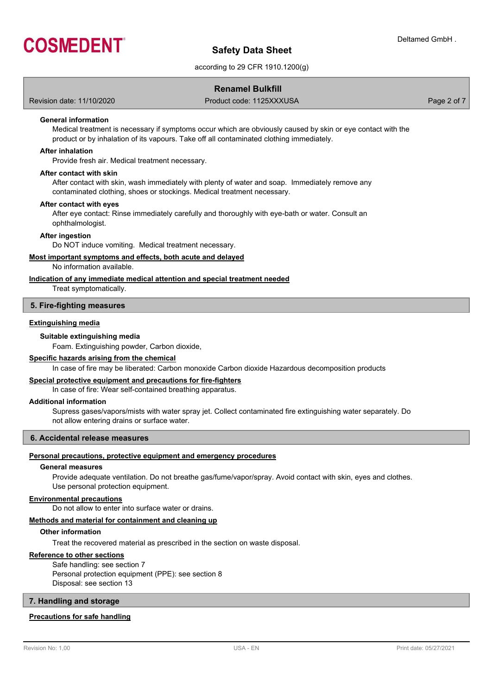

according to 29 CFR 1910.1200(g)

### **Renamel Bulkfill**

Revision date: 11/10/2020 Product code: 1125XXXUSA Page 2 of 7

### **General information**

Medical treatment is necessary if symptoms occur which are obviously caused by skin or eye contact with the product or by inhalation of its vapours. Take off all contaminated clothing immediately.

#### **After inhalation**

Provide fresh air. Medical treatment necessary.

#### **After contact with skin**

After contact with skin, wash immediately with plenty of water and soap. Immediately remove any contaminated clothing, shoes or stockings. Medical treatment necessary.

#### **After contact with eyes**

After eye contact: Rinse immediately carefully and thoroughly with eye-bath or water. Consult an ophthalmologist.

#### **After ingestion**

Do NOT induce vomiting. Medical treatment necessary.

### **Most important symptoms and effects, both acute and delayed**

No information available.

### **Indication of any immediate medical attention and special treatment needed**

Treat symptomatically.

#### **5. Fire-fighting measures**

#### **Extinguishing media**

#### **Suitable extinguishing media**

Foam. Extinguishing powder, Carbon dioxide,

#### **Specific hazards arising from the chemical**

In case of fire may be liberated: Carbon monoxide Carbon dioxide Hazardous decomposition products

#### **Special protective equipment and precautions for fire-fighters**

In case of fire: Wear self-contained breathing apparatus.

#### **Additional information**

Supress gases/vapors/mists with water spray jet. Collect contaminated fire extinguishing water separately. Do not allow entering drains or surface water.

#### **6. Accidental release measures**

#### **Personal precautions, protective equipment and emergency procedures**

#### **General measures**

Provide adequate ventilation. Do not breathe gas/fume/vapor/spray. Avoid contact with skin, eyes and clothes. Use personal protection equipment.

#### **Environmental precautions**

Do not allow to enter into surface water or drains.

### **Methods and material for containment and cleaning up**

#### **Other information**

Treat the recovered material as prescribed in the section on waste disposal.

### **Reference to other sections**

Safe handling: see section 7 Personal protection equipment (PPE): see section 8 Disposal: see section 13

### **7. Handling and storage**

#### **Precautions for safe handling**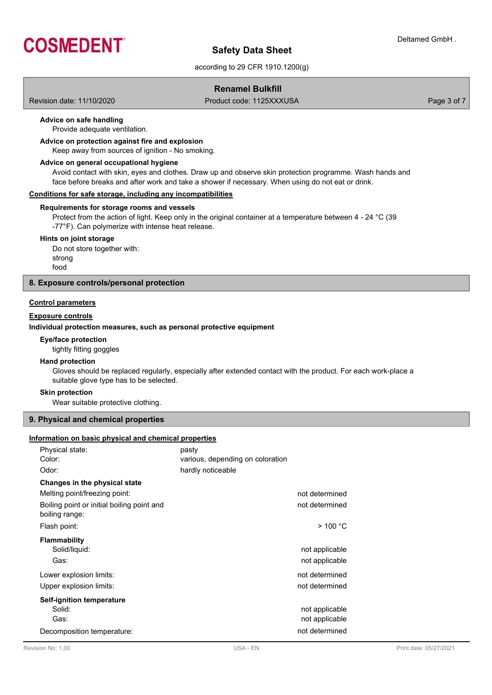

according to 29 CFR 1910.1200(g)

### **Renamel Bulkfill**

Revision date: 11/10/2020 Product code: 1125XXXUSA Page 3 of 7

### **Advice on safe handling**

Provide adequate ventilation.

### **Advice on protection against fire and explosion**

Keep away from sources of ignition - No smoking.

#### **Advice on general occupational hygiene**

Avoid contact with skin, eyes and clothes. Draw up and observe skin protection programme. Wash hands and face before breaks and after work and take a shower if necessary. When using do not eat or drink.

#### **Conditions for safe storage, including any incompatibilities**

#### **Requirements for storage rooms and vessels**

Protect from the action of light. Keep only in the original container at a temperature between 4 - 24 °C (39 -77°F). Can polymerize with intense heat release.

#### **Hints on joint storage**

Do not store together with: strong food

### **8. Exposure controls/personal protection**

### **Control parameters**

### **Exposure controls**

#### **Individual protection measures, such as personal protective equipment**

#### **Eye/face protection**

tightly fitting goggles

### **Hand protection**

Gloves should be replaced regularly, especially after extended contact with the product. For each work-place a suitable glove type has to be selected.

#### **Skin protection**

Wear suitable protective clothing.

### **9. Physical and chemical properties**

#### **Information on basic physical and chemical properties**

| Physical state:<br>Color:<br>Odor:                           | pasty<br>various, depending on coloration<br>hardly noticeable |                                  |
|--------------------------------------------------------------|----------------------------------------------------------------|----------------------------------|
| Changes in the physical state                                |                                                                |                                  |
| Melting point/freezing point:                                |                                                                | not determined                   |
| Boiling point or initial boiling point and<br>boiling range: |                                                                | not determined                   |
| Flash point:                                                 |                                                                | $>$ 100 °C                       |
| <b>Flammability</b><br>Solid/liquid:<br>Gas:                 |                                                                | not applicable<br>not applicable |
| Lower explosion limits:                                      |                                                                | not determined                   |
| Upper explosion limits:                                      |                                                                | not determined                   |
| Self-ignition temperature<br>Solid:<br>Gas:                  |                                                                | not applicable<br>not applicable |
| Decomposition temperature:                                   |                                                                | not determined                   |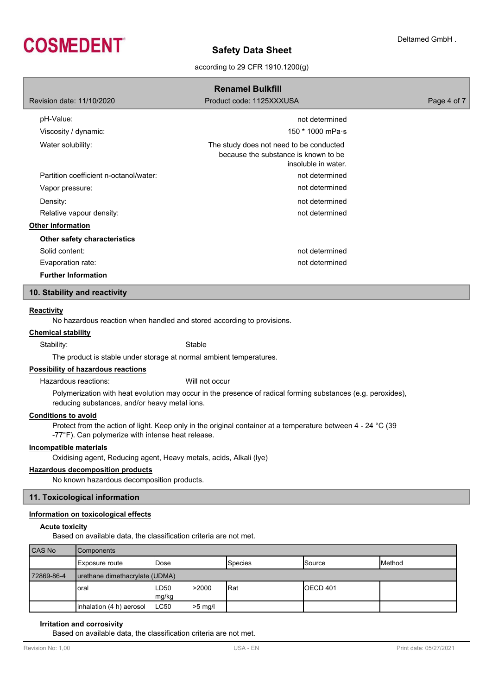

### according to 29 CFR 1910.1200(g)

| <b>Renamel Bulkfill</b>                |                                                                                                        |             |  |  |
|----------------------------------------|--------------------------------------------------------------------------------------------------------|-------------|--|--|
| Revision date: 11/10/2020              | Product code: 1125XXXUSA                                                                               | Page 4 of 7 |  |  |
| pH-Value:                              | not determined                                                                                         |             |  |  |
| Viscosity / dynamic:                   | 150 $*$ 1000 mPa $\cdot$ s                                                                             |             |  |  |
| Water solubility:                      | The study does not need to be conducted<br>because the substance is known to be<br>insoluble in water. |             |  |  |
| Partition coefficient n-octanol/water: | not determined                                                                                         |             |  |  |
| Vapor pressure:                        | not determined                                                                                         |             |  |  |
| Density:                               | not determined                                                                                         |             |  |  |
| Relative vapour density:               | not determined                                                                                         |             |  |  |
| <b>Other information</b>               |                                                                                                        |             |  |  |
| Other safety characteristics           |                                                                                                        |             |  |  |
| Solid content:                         | not determined                                                                                         |             |  |  |
| Evaporation rate:                      | not determined                                                                                         |             |  |  |
| <b>Further Information</b>             |                                                                                                        |             |  |  |

### **10. Stability and reactivity**

#### **Reactivity**

No hazardous reaction when handled and stored according to provisions.

### **Chemical stability**

Stability: Stable

The product is stable under storage at normal ambient temperatures.

## **Possibility of hazardous reactions**

Hazardous reactions: Will not occur

Polymerization with heat evolution may occur in the presence of radical forming substances (e.g. peroxides), reducing substances, and/or heavy metal ions.

### **Conditions to avoid**

Protect from the action of light. Keep only in the original container at a temperature between 4 - 24 °C (39 -77°F). Can polymerize with intense heat release.

### **Incompatible materials**

Oxidising agent, Reducing agent, Heavy metals, acids, Alkali (lye)

#### **Hazardous decomposition products**

No known hazardous decomposition products.

### **11. Toxicological information**

#### **Information on toxicological effects**

#### **Acute toxicity**

Based on available data, the classification criteria are not met.

| CAS No     | <b>Components</b>              |               |           |                |                  |                |
|------------|--------------------------------|---------------|-----------|----------------|------------------|----------------|
|            | Exposure route                 | lDose         |           | <b>Species</b> | Source           | <b>IMethod</b> |
| 72869-86-4 | urethane dimethacrylate (UDMA) |               |           |                |                  |                |
|            | loral                          | LD50<br>mg/kg | >2000     | <b>Rat</b>     | <b>IOECD 401</b> |                |
|            | linhalation (4 h) aerosol      | ILC50         | $>5$ mg/l |                |                  |                |

#### **Irritation and corrosivity**

Based on available data, the classification criteria are not met.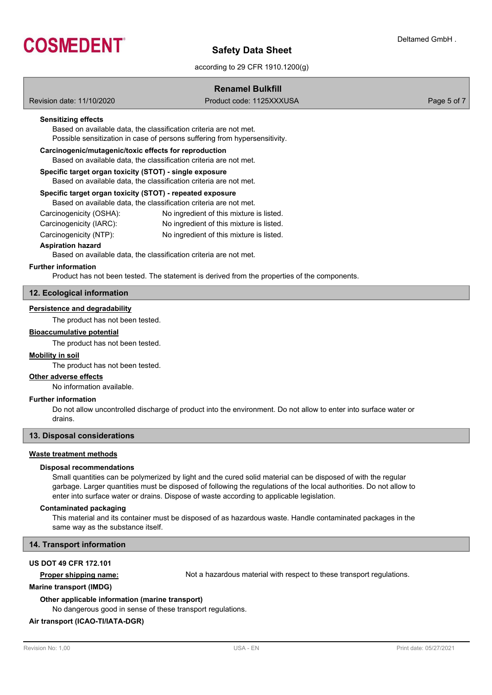

### according to 29 CFR 1910.1200(g)

|                                                                                                                                | <b>Renamel Bulkfill</b>                                                                                                                         |             |  |  |  |
|--------------------------------------------------------------------------------------------------------------------------------|-------------------------------------------------------------------------------------------------------------------------------------------------|-------------|--|--|--|
| Revision date: 11/10/2020                                                                                                      | Product code: 1125XXXUSA                                                                                                                        | Page 5 of 7 |  |  |  |
| <b>Sensitizing effects</b>                                                                                                     | Based on available data, the classification criteria are not met.<br>Possible sensitization in case of persons suffering from hypersensitivity. |             |  |  |  |
| Carcinogenic/mutagenic/toxic effects for reproduction<br>Based on available data, the classification criteria are not met.     |                                                                                                                                                 |             |  |  |  |
| Specific target organ toxicity (STOT) - single exposure<br>Based on available data, the classification criteria are not met.   |                                                                                                                                                 |             |  |  |  |
| Specific target organ toxicity (STOT) - repeated exposure<br>Based on available data, the classification criteria are not met. |                                                                                                                                                 |             |  |  |  |
| Carcinogenicity (OSHA):                                                                                                        | No ingredient of this mixture is listed.                                                                                                        |             |  |  |  |
| Carcinogenicity (IARC):                                                                                                        | No ingredient of this mixture is listed.                                                                                                        |             |  |  |  |
| Carcinogenicity (NTP):                                                                                                         | No ingredient of this mixture is listed.                                                                                                        |             |  |  |  |
| <b>Aspiration hazard</b>                                                                                                       | Based on available data, the classification criteria are not met.                                                                               |             |  |  |  |
| <b>Further information</b>                                                                                                     | Product has not been tested. The statement is derived from the properties of the components.                                                    |             |  |  |  |

### **12. Ecological information**

### **Persistence and degradability**

The product has not been tested.

### **Bioaccumulative potential**

The product has not been tested.

### **Mobility in soil**

The product has not been tested.

### **Other adverse effects**

No information available.

### **Further information**

Do not allow uncontrolled discharge of product into the environment. Do not allow to enter into surface water or drains.

### **13. Disposal considerations**

#### **Waste treatment methods**

#### **Disposal recommendations**

Small quantities can be polymerized by light and the cured solid material can be disposed of with the regular garbage. Larger quantities must be disposed of following the regulations of the local authorities. Do not allow to enter into surface water or drains. Dispose of waste according to applicable legislation.

#### **Contaminated packaging**

This material and its container must be disposed of as hazardous waste. Handle contaminated packages in the same way as the substance itself.

#### **14. Transport information**

### **US DOT 49 CFR 172.101**

**Proper shipping name:** Not a hazardous material with respect to these transport regulations.

#### **Marine transport (IMDG)**

**Other applicable information (marine transport)**

No dangerous good in sense of these transport regulations.

### **Air transport (ICAO-TI/IATA-DGR)**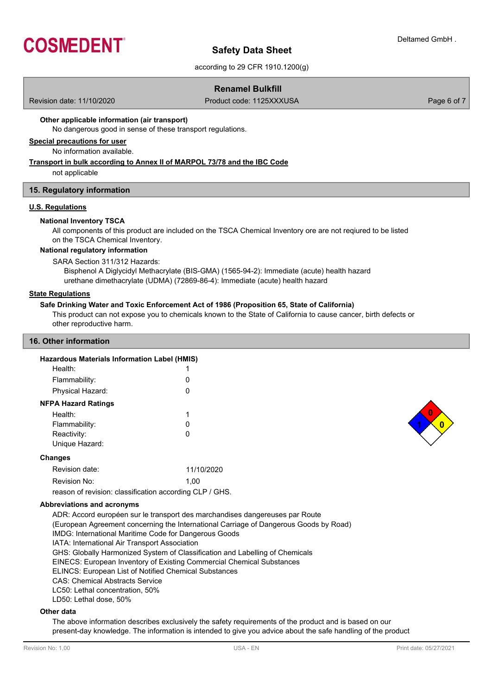

according to 29 CFR 1910.1200(g)

### **Renamel Bulkfill**

Revision date: 11/10/2020 **Product code: 1125XXXUSA** Page 6 of 7

### **Other applicable information (air transport)**

No dangerous good in sense of these transport regulations.

# **Special precautions for user**

No information available.

### **Transport in bulk according to Annex II of MARPOL 73/78 and the IBC Code**

not applicable

#### **15. Regulatory information**

#### **U.S. Regulations**

#### **National Inventory TSCA**

All components of this product are included on the TSCA Chemical Inventory ore are not reqiured to be listed on the TSCA Chemical Inventory.

#### **National regulatory information**

SARA Section 311/312 Hazards:

Bisphenol A Diglycidyl Methacrylate (BIS-GMA) (1565-94-2): Immediate (acute) health hazard urethane dimethacrylate (UDMA) (72869-86-4): Immediate (acute) health hazard

#### **State Regulations**

#### **Safe Drinking Water and Toxic Enforcement Act of 1986 (Proposition 65, State of California)**

This product can not expose you to chemicals known to the State of California to cause cancer, birth defects or other reproductive harm.

#### **16. Other information**

| <b>Hazardous Materials Information Label (HMIS)</b> |            |
|-----------------------------------------------------|------------|
| Health:                                             |            |
| Flammability:                                       | O          |
| Physical Hazard:                                    | O          |
| <b>NFPA Hazard Ratings</b>                          |            |
| Health:                                             | 1          |
| Flammability:                                       | O          |
| Reactivity:                                         | O          |
| Unique Hazard:                                      |            |
| <b>Changes</b>                                      |            |
| Revision date:                                      | 11/10/2020 |
| Revision No:                                        | 1.00       |
|                                                     |            |

reason of revision: classification according CLP / GHS.

### **Abbreviations and acronyms**

ADR: Accord européen sur le transport des marchandises dangereuses par Route (European Agreement concerning the International Carriage of Dangerous Goods by Road) IMDG: International Maritime Code for Dangerous Goods IATA: International Air Transport Association GHS: Globally Harmonized System of Classification and Labelling of Chemicals EINECS: European Inventory of Existing Commercial Chemical Substances ELINCS: European List of Notified Chemical Substances CAS: Chemical Abstracts Service LC50: Lethal concentration, 50% LD50: Lethal dose, 50%

### **Other data**

The above information describes exclusively the safety requirements of the product and is based on our present-day knowledge. The information is intended to give you advice about the safe handling of the product

**1 0 0**